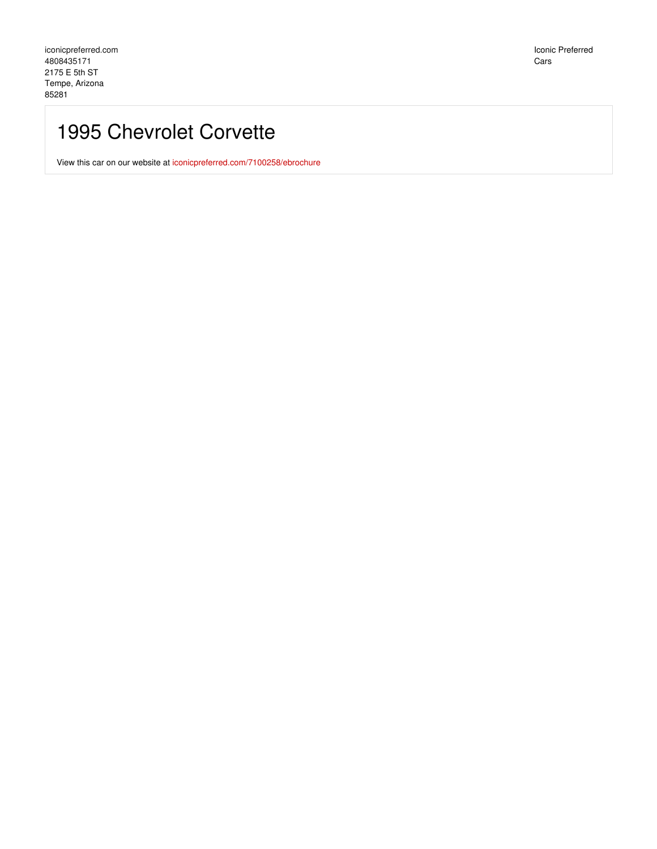Iconic Preferred Cars

## 1995 Chevrolet Corvette

View this car on our website at [iconicpreferred.com/7100258/ebrochure](https://iconicpreferred.com/vehicle/7100258/1995-chevrolet-corvette-tempe-arizona-85281/7100258/ebrochure)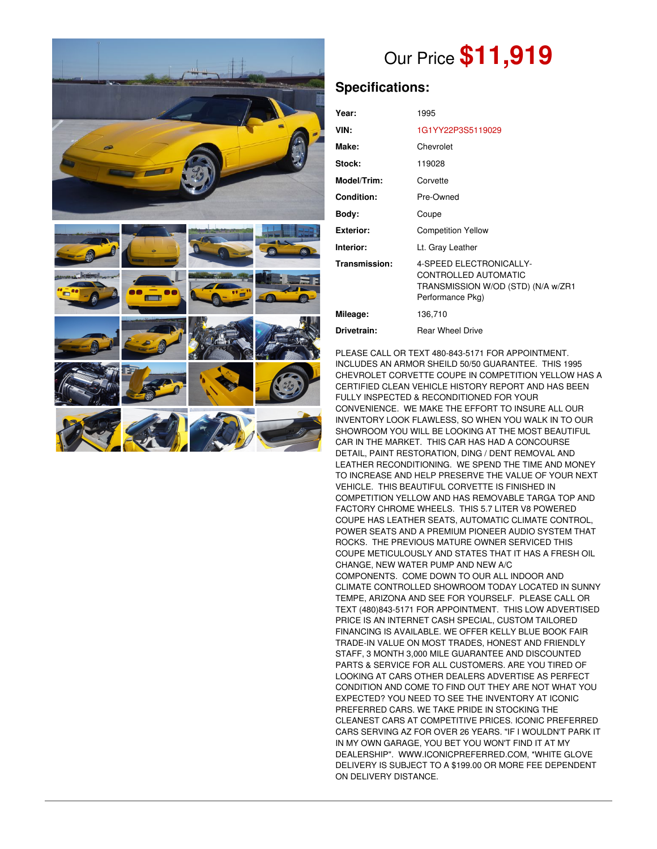

# Our Price **\$11,919**

### **Specifications:**

| Year:             | 1995                                                                                                      |
|-------------------|-----------------------------------------------------------------------------------------------------------|
| VIN:              | 1G1YY22P3S5119029                                                                                         |
| Make:             | Chevrolet                                                                                                 |
| Stock:            | 119028                                                                                                    |
| Model/Trim:       | Corvette                                                                                                  |
| <b>Condition:</b> | Pre-Owned                                                                                                 |
| Body:             | Coupe                                                                                                     |
| <b>Exterior:</b>  | <b>Competition Yellow</b>                                                                                 |
| Interior:         | Lt. Gray Leather                                                                                          |
| Transmission:     | 4-SPEED ELECTRONICALLY-<br>CONTROLLED AUTOMATIC<br>TRANSMISSION W/OD (STD) (N/A w/ZR1<br>Performance Pkg) |
| Mileage:          | 136,710                                                                                                   |
| Drivetrain:       | <b>Rear Wheel Drive</b>                                                                                   |

PLEASE CALL OR TEXT 480-843-5171 FOR APPOINTMENT. INCLUDES AN ARMOR SHEILD 50/50 GUARANTEE. THIS 1995 CHEVROLET CORVETTE COUPE IN COMPETITION YELLOW HAS A CERTIFIED CLEAN VEHICLE HISTORY REPORT AND HAS BEEN FULLY INSPECTED & RECONDITIONED FOR YOUR CONVENIENCE. WE MAKE THE EFFORT TO INSURE ALL OUR INVENTORY LOOK FLAWLESS, SO WHEN YOU WALK IN TO OUR SHOWROOM YOU WILL BE LOOKING AT THE MOST BEAUTIFUL CAR IN THE MARKET. THIS CAR HAS HAD A CONCOURSE DETAIL, PAINT RESTORATION, DING / DENT REMOVAL AND LEATHER RECONDITIONING. WE SPEND THE TIME AND MONEY TO INCREASE AND HELP PRESERVE THE VALUE OF YOUR NEXT VEHICLE. THIS BEAUTIFUL CORVETTE IS FINISHED IN COMPETITION YELLOW AND HAS REMOVABLE TARGA TOP AND FACTORY CHROME WHEELS. THIS 5.7 LITER V8 POWERED COUPE HAS LEATHER SEATS, AUTOMATIC CLIMATE CONTROL, POWER SEATS AND A PREMIUM PIONEER AUDIO SYSTEM THAT ROCKS. THE PREVIOUS MATURE OWNER SERVICED THIS COUPE METICULOUSLY AND STATES THAT IT HAS A FRESH OIL CHANGE, NEW WATER PUMP AND NEW A/C COMPONENTS. COME DOWN TO OUR ALL INDOOR AND CLIMATE CONTROLLED SHOWROOM TODAY LOCATED IN SUNNY TEMPE, ARIZONA AND SEE FOR YOURSELF. PLEASE CALL OR TEXT (480)843-5171 FOR APPOINTMENT. THIS LOW ADVERTISED PRICE IS AN INTERNET CASH SPECIAL, CUSTOM TAILORED FINANCING IS AVAILABLE. WE OFFER KELLY BLUE BOOK FAIR TRADE-IN VALUE ON MOST TRADES, HONEST AND FRIENDLY STAFF, 3 MONTH 3,000 MILE GUARANTEE AND DISCOUNTED PARTS & SERVICE FOR ALL CUSTOMERS. ARE YOU TIRED OF LOOKING AT CARS OTHER DEALERS ADVERTISE AS PERFECT CONDITION AND COME TO FIND OUT THEY ARE NOT WHAT YOU EXPECTED? YOU NEED TO SEE THE INVENTORY AT ICONIC PREFERRED CARS. WE TAKE PRIDE IN STOCKING THE CLEANEST CARS AT COMPETITIVE PRICES. ICONIC PREFERRED CARS SERVING AZ FOR OVER 26 YEARS. "IF I WOULDN'T PARK IT IN MY OWN GARAGE, YOU BET YOU WON'T FIND IT AT MY DEALERSHIP". WWW.ICONICPREFERRED.COM, \*WHITE GLOVE DELIVERY IS SUBJECT TO A \$199.00 OR MORE FEE DEPENDENT ON DELIVERY DISTANCE.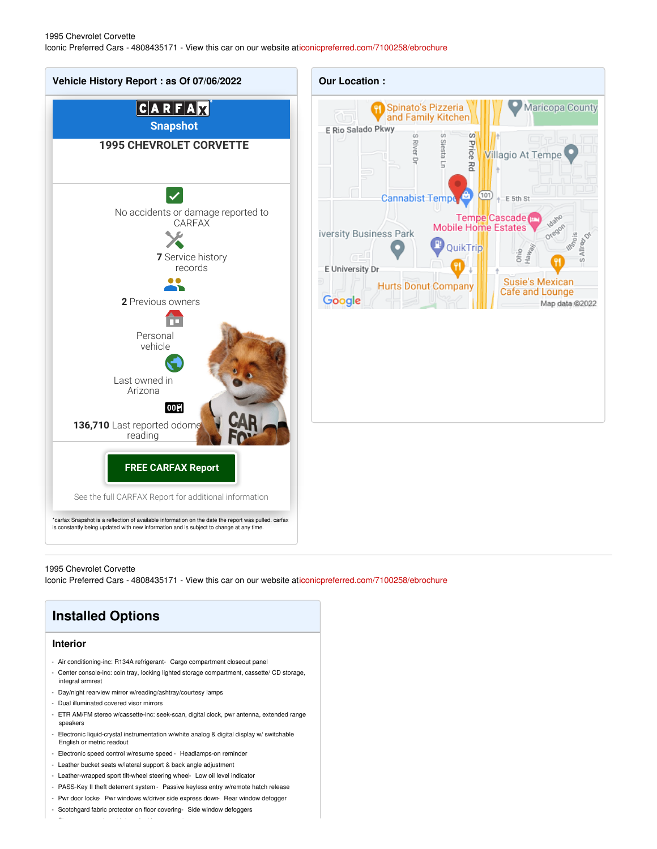#### 1995 Chevrolet Corvette Iconic Preferred Cars - 4808435171 - View this car on our website a[ticonicpreferred.com/7100258/ebrochure](https://iconicpreferred.com/vehicle/7100258/1995-chevrolet-corvette-tempe-arizona-85281/7100258/ebrochure)



1995 Chevrolet Corvette

Iconic Preferred Cars - 4808435171 - View this car on our website a[ticonicpreferred.com/7100258/ebrochure](https://iconicpreferred.com/vehicle/7100258/1995-chevrolet-corvette-tempe-arizona-85281/7100258/ebrochure)



- Pwr door locks- Pwr windows w/driver side express down- Rear window defogger
- 
- Scotchgard fabric protector on floor covering- Side window defoggers

- Storage compartment integral w/door armrest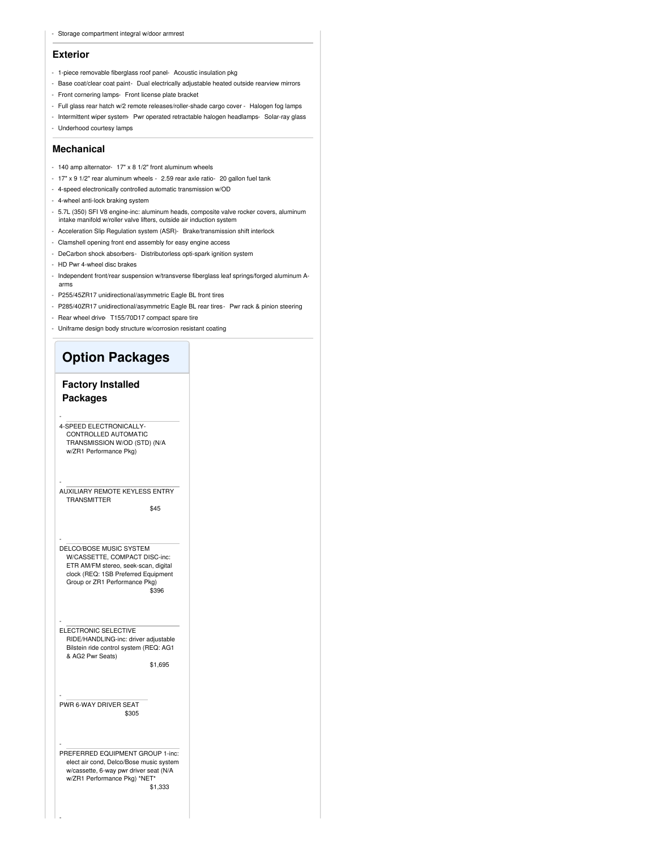- Storage compartment integral w/door armrest

#### **Exterior**

- 1-piece removable fiberglass roof panel- Acoustic insulation pkg
- Base coat/clear coat paint- Dual electrically adjustable heated outside rearview mirrors
- Front cornering lamps- Front license plate bracket
- Full glass rear hatch w/2 remote releases/roller-shade cargo cover Halogen fog lamps
- Intermittent wiper system- Pwr operated retractable halogen headlamps- Solar-ray glass
- Underhood courtesy lamps

#### **Mechanical**

- 140 amp alternator- 17" x 8 1/2" front aluminum wheels
- 17" x 9 1/2" rear aluminum wheels 2.59 rear axle ratio- 20 gallon fuel tank
- 4-speed electronically controlled automatic transmission w/OD
- 4-wheel anti-lock braking system
- 5.7L (350) SFI V8 engine-inc: aluminum heads, composite valve rocker covers, aluminum intake manifold w/roller valve lifters, outside air induction system
- Acceleration Slip Regulation system (ASR)- Brake/transmission shift interlock
- Clamshell opening front end assembly for easy engine access
- DeCarbon shock absorbers- Distributorless opti-spark ignition system
- HD Pwr 4-wheel disc brakes
- Independent front/rear suspension w/transverse fiberglass leaf springs/forged aluminum Aarms
- P255/45ZR17 unidirectional/asymmetric Eagle BL front tires
- P285/40ZR17 unidirectional/asymmetric Eagle BL rear tires Pwr rack & pinion steering
- Rear wheel drive-T155/70D17 compact spare tire
- Uniframe design body structure w/corrosion resistant coating

## **Option Packages**

#### **Factory Installed Packages**

| 4-SPEED ELECTRONICALLY-                 |
|-----------------------------------------|
|                                         |
| CONTROLLED AUTOMATIC                    |
| TRANSMISSION W/OD (STD) (N/A            |
| w/ZR1 Performance Pkg)                  |
|                                         |
|                                         |
|                                         |
|                                         |
|                                         |
|                                         |
| <b>AUXILIARY REMOTE KEYLESS ENTRY</b>   |
| <b>TRANSMITTER</b>                      |
| \$45                                    |
|                                         |
|                                         |
|                                         |
|                                         |
|                                         |
|                                         |
| DELCO/BOSE MUSIC SYSTEM                 |
| W/CASSETTE, COMPACT DISC-inc:           |
| ETR AM/FM stereo, seek-scan, digital    |
|                                         |
| clock (REQ: 1SB Preferred Equipment     |
| Group or ZR1 Performance Pkg)           |
| \$396                                   |
|                                         |
|                                         |
|                                         |
|                                         |
|                                         |
|                                         |
| ELECTRONIC SELECTIVE                    |
| RIDE/HANDLING-inc: driver adjustable    |
| Bilstein ride control system (REQ: AG1  |
| & AG2 Pwr Seats)                        |
|                                         |
| \$1,695                                 |
|                                         |
|                                         |
|                                         |
|                                         |
|                                         |
|                                         |
|                                         |
| PWR 6-WAY DRIVER SEAT                   |
| \$305                                   |
|                                         |
|                                         |
|                                         |
|                                         |
|                                         |
| PREFERRED EQUIPMENT GROUP 1-inc:        |
| elect air cond, Delco/Bose music system |
|                                         |
| w/cassette, 6-way pwr driver seat (N/A  |
| w/ZR1 Performance Pkg) *NET*            |
| \$1,333                                 |
|                                         |
|                                         |
|                                         |

-